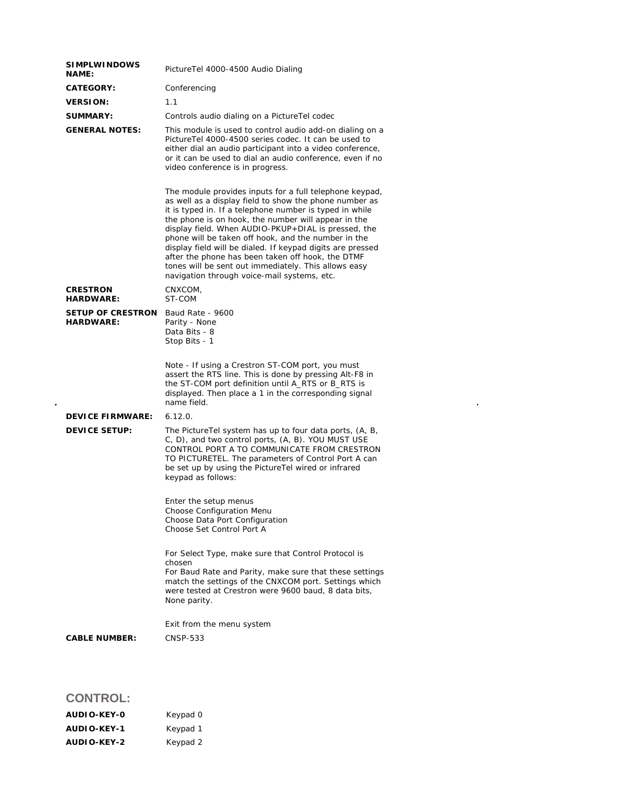| <b>SIMPLWINDOWS</b><br><b>NAME:</b>          | PictureTel 4000-4500 Audio Dialing                                                                                                                                                                                                                                                                                                                                                                                                                                                                                                                                          |  |  |
|----------------------------------------------|-----------------------------------------------------------------------------------------------------------------------------------------------------------------------------------------------------------------------------------------------------------------------------------------------------------------------------------------------------------------------------------------------------------------------------------------------------------------------------------------------------------------------------------------------------------------------------|--|--|
| <b>CATEGORY:</b>                             | Conferencing                                                                                                                                                                                                                                                                                                                                                                                                                                                                                                                                                                |  |  |
| <b>VERSION:</b>                              | 1.1                                                                                                                                                                                                                                                                                                                                                                                                                                                                                                                                                                         |  |  |
| <b>SUMMARY:</b>                              | Controls audio dialing on a PictureTel codec                                                                                                                                                                                                                                                                                                                                                                                                                                                                                                                                |  |  |
| <b>GENERAL NOTES:</b>                        | This module is used to control audio add-on dialing on a<br>PictureTel 4000-4500 series codec. It can be used to<br>either dial an audio participant into a video conference,<br>or it can be used to dial an audio conference, even if no<br>video conference is in progress.                                                                                                                                                                                                                                                                                              |  |  |
|                                              | The module provides inputs for a full telephone keypad,<br>as well as a display field to show the phone number as<br>it is typed in. If a telephone number is typed in while<br>the phone is on hook, the number will appear in the<br>display field. When AUDIO-PKUP+DIAL is pressed, the<br>phone will be taken off hook, and the number in the<br>display field will be dialed. If keypad digits are pressed<br>after the phone has been taken off hook, the DTMF<br>tones will be sent out immediately. This allows easy<br>navigation through voice-mail systems, etc. |  |  |
| <b>CRESTRON</b><br><b>HARDWARE:</b>          | CNXCOM,<br>ST-COM                                                                                                                                                                                                                                                                                                                                                                                                                                                                                                                                                           |  |  |
| <b>SETUP OF CRESTRON</b><br><b>HARDWARE:</b> | Baud Rate - 9600<br>Parity - None<br>Data Bits - 8<br>Stop Bits - 1                                                                                                                                                                                                                                                                                                                                                                                                                                                                                                         |  |  |
|                                              | Note - If using a Crestron ST-COM port, you must<br>assert the RTS line. This is done by pressing Alt-F8 in<br>the ST-COM port definition until A_RTS or B_RTS is<br>displayed. Then place a 1 in the corresponding signal<br>name field.                                                                                                                                                                                                                                                                                                                                   |  |  |
| <b>DEVICE FIRMWARE:</b>                      | 6.12.0.                                                                                                                                                                                                                                                                                                                                                                                                                                                                                                                                                                     |  |  |
| <b>DEVICE SETUP:</b>                         | The PictureTel system has up to four data ports, (A, B,<br>C, D), and two control ports, (A, B). YOU MUST USE<br>CONTROL PORT A TO COMMUNICATE FROM CRESTRON<br>TO PICTURETEL. The parameters of Control Port A can<br>be set up by using the PictureTel wired or infrared<br>keypad as follows:                                                                                                                                                                                                                                                                            |  |  |
|                                              | Enter the setup menus<br>Choose Configuration Menu<br>Choose Data Port Configuration<br>Choose Set Control Port A                                                                                                                                                                                                                                                                                                                                                                                                                                                           |  |  |
|                                              | For Select Type, make sure that Control Protocol is<br>chosen<br>For Baud Rate and Parity, make sure that these settings<br>match the settings of the CNXCOM port. Settings which<br>were tested at Crestron were 9600 baud, 8 data bits,<br>None parity.                                                                                                                                                                                                                                                                                                                   |  |  |
|                                              | Exit from the menu system                                                                                                                                                                                                                                                                                                                                                                                                                                                                                                                                                   |  |  |
| <b>CABLE NUMBER:</b>                         | <b>CNSP-533</b>                                                                                                                                                                                                                                                                                                                                                                                                                                                                                                                                                             |  |  |
|                                              |                                                                                                                                                                                                                                                                                                                                                                                                                                                                                                                                                                             |  |  |

 $\label{eq:2.1} \frac{1}{\sqrt{2}}\int_{\mathbb{R}^3}\frac{1}{\sqrt{2}}\left(\frac{1}{\sqrt{2}}\right)^2\frac{1}{\sqrt{2}}\left(\frac{1}{\sqrt{2}}\right)^2\frac{1}{\sqrt{2}}\left(\frac{1}{\sqrt{2}}\right)^2.$ 

## **CONTROL:**

| AUDIO-KEY-0 | Keypad 0 |
|-------------|----------|
| AUDIO-KEY-1 | Keypad 1 |
| AUDIO-KEY-2 | Keypad 2 |